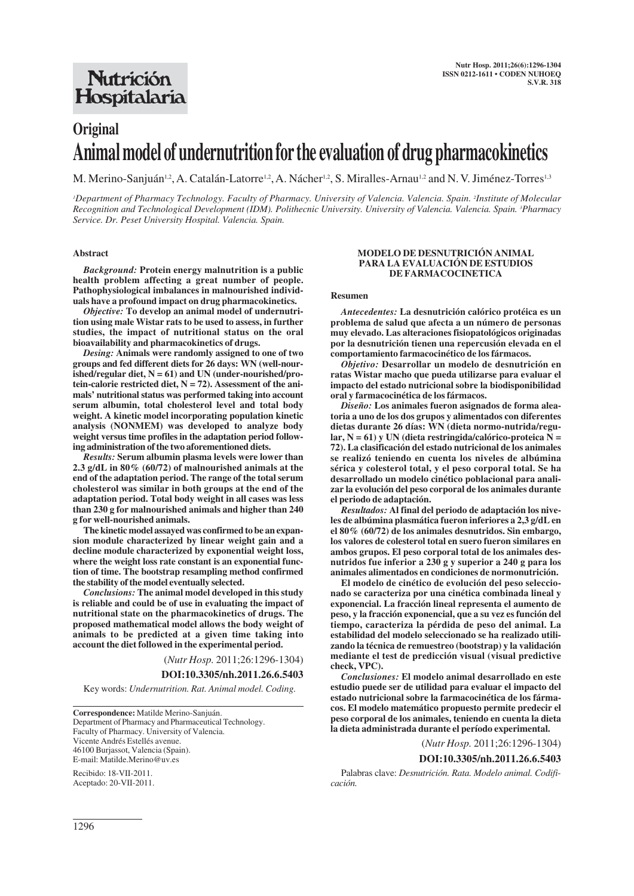## **Nutrición** Hospitalaria

# **Original Animal model of undernutrition for the evaluation of drug pharmacokinetics**

M. Merino-Sanjuán<sup>1,2</sup>, A. Catalán-Latorre<sup>1,2</sup>, A. Nácher<sup>1,2</sup>, S. Miralles-Arnau<sup>1,2</sup> and N. V. Jiménez-Torres<sup>1,3</sup>

*1 Department of Pharmacy Technology. Faculty of Pharmacy. University of Valencia. Valencia. Spain. 2 Institute of Molecular Recognition and Technological Development (IDM). Polithecnic University. University of Valencia. Valencia. Spain. 3 Pharmacy Service. Dr. Peset University Hospital. Valencia. Spain.*

## **Abstract**

*Background:* **Protein energy malnutrition is a public health problem affecting a great number of people. Pathophysiological imbalances in malnourished individuals have a profound impact on drug pharmacokinetics.**

*Objective:* **To develop an animal model of undernutrition using male Wistar rats to be used to assess, in further studies, the impact of nutritional status on the oral bioavailability and pharmacokinetics of drugs.**

*Desing:* **Animals were randomly assigned to one of two groups and fed different diets for 26 days: WN (well-nourished/regular diet, N = 61) and UN (under-nourished/protein-calorie restricted diet, N = 72). Assessment of the animals' nutritional status was performed taking into account serum albumin, total cholesterol level and total body weight. A kinetic model incorporating population kinetic analysis (NONMEM) was developed to analyze body weight versus time profiles in the adaptation period following administration of the two aforementioned diets.**

*Results:* **Serum albumin plasma levels were lower than 2.3 g/dL in 80% (60/72) of malnourished animals at the end of the adaptation period. The range of the total serum cholesterol was similar in both groups at the end of the adaptation period. Total body weight in all cases was less than 230 g for malnourished animals and higher than 240 g for well-nourished animals.**

**The kinetic model assayed was confirmed to be an expansion module characterized by linear weight gain and a decline module characterized by exponential weight loss, where the weight loss rate constant is an exponential function of time. The bootstrap resampling method confirmed the stability of the model eventually selected.** 

*Conclusions:* **The animal model developed in this study is reliable and could be of use in evaluating the impact of nutritional state on the pharmacokinetics of drugs. The proposed mathematical model allows the body weight of animals to be predicted at a given time taking into account the diet followed in the experimental period.**

(*Nutr Hosp.* 2011;26:1296-1304)

**DOI:10.3305/nh.2011.26.6.5403**

Key words: *Undernutrition. Rat. Animal model. Coding.*

**Correspondence:** Matilde Merino-Sanjuán. Department of Pharmacy and Pharmaceutical Technology. Faculty of Pharmacy. University of Valencia. Vicente Andrés Estellés avenue. 46100 Burjassot, Valencia (Spain). E-mail: Matilde.Merino@uv.es

Recibido: 18-VII-2011. Aceptado: 20-VII-2011.

#### **MODELO DE DESNUTRICIÓN ANIMAL PARA LA EVALUACIÓN DE ESTUDIOS DE FARMACOCINETICA**

#### **Resumen**

*Antecedentes:* **La desnutrición calórico protéica es un problema de salud que afecta a un número de personas muy elevado. Las alteraciones fisiopatológicos originadas por la desnutrición tienen una repercusión elevada en el comportamiento farmacocinético de los fármacos.**

*Objetivo:* **Desarrollar un modelo de desnutrición en ratas Wistar macho que pueda utilizarse para evaluar el impacto del estado nutricional sobre la biodisponibilidad oral y farmacocinética de los fármacos.**

*Diseño:* **Los animales fueron asignados de forma aleatoria a uno de los dos grupos y alimentados con diferentes dietas durante 26 días: WN (dieta normo-nutrida/regular, N = 61) y UN (dieta restringida/calórico-proteica N = 72). La clasificación del estado nutricional de los animales se realizó teniendo en cuenta los niveles de albúmina sérica y colesterol total, y el peso corporal total. Se ha desarrollado un modelo cinético poblacional para analizar la evolución del peso corporal de los animales durante el periodo de adaptación.**

*Resultados:* **Al final del periodo de adaptación los niveles de albúmina plasmática fueron inferiores a 2,3 g/dL en el 80% (60/72) de los animales desnutridos. Sin embargo, los valores de colesterol total en suero fueron similares en ambos grupos. El peso corporal total de los animales desnutridos fue inferior a 230 g y superior a 240 g para los animales alimentados en condiciones de normonutrición.**

**El modelo de cinético de evolución del peso seleccionado se caracteriza por una cinética combinada lineal y exponencial. La fracción lineal representa el aumento de peso, y la fracción exponencial, que a su vez es función del tiempo, caracteriza la pérdida de peso del animal. La estabilidad del modelo seleccionado se ha realizado utilizando la técnica de remuestreo (bootstrap) y la validación mediante el test de predicción visual (visual predictive check, VPC).**

*Conclusiones:* **El modelo animal desarrollado en este estudio puede ser de utilidad para evaluar el impacto del estado nutricional sobre la farmacocinética de los fármacos. El modelo matemático propuesto permite predecir el peso corporal de los animales, teniendo en cuenta la dieta la dieta administrada durante el período experimental.**

(*Nutr Hosp.* 2011;26:1296-1304)

#### **DOI:10.3305/nh.2011.26.6.5403**

Palabras clave: *Desnutrición. Rata. Modelo animal. Codificación.*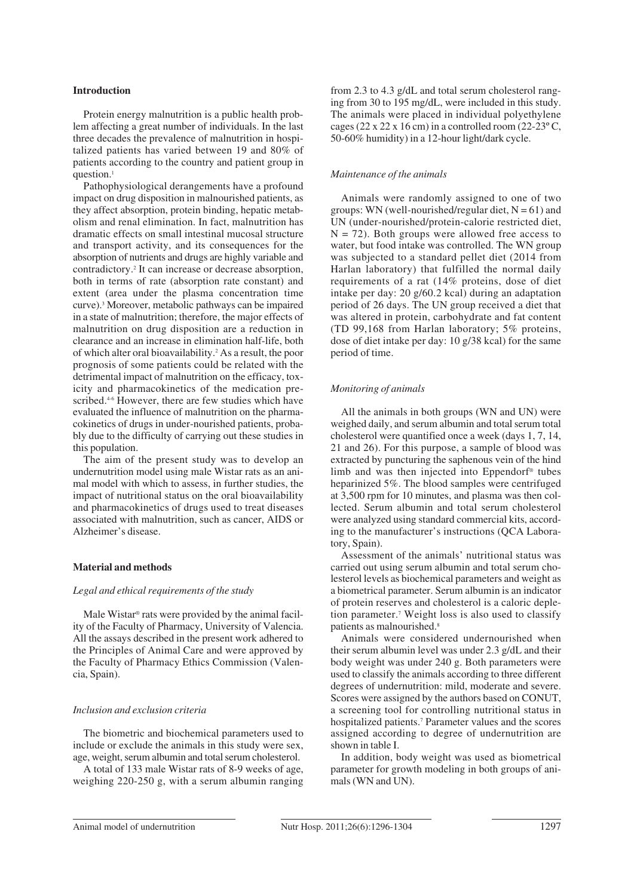## **Introduction**

Protein energy malnutrition is a public health problem affecting a great number of individuals. In the last three decades the prevalence of malnutrition in hospitalized patients has varied between 19 and 80% of patients according to the country and patient group in question.<sup>1</sup>

Pathophysiological derangements have a profound impact on drug disposition in malnourished patients, as they affect absorption, protein binding, hepatic metabolism and renal elimination. In fact, malnutrition has dramatic effects on small intestinal mucosal structure and transport activity, and its consequences for the absorption of nutrients and drugs are highly variable and contradictory.2 It can increase or decrease absorption, both in terms of rate (absorption rate constant) and extent (area under the plasma concentration time curve).3 Moreover, metabolic pathways can be impaired in a state of malnutrition; therefore, the major effects of malnutrition on drug disposition are a reduction in clearance and an increase in elimination half-life, both of which alter oral bioavailability.2 As a result, the poor prognosis of some patients could be related with the detrimental impact of malnutrition on the efficacy, toxicity and pharmacokinetics of the medication prescribed.<sup>46</sup> However, there are few studies which have evaluated the influence of malnutrition on the pharmacokinetics of drugs in under-nourished patients, probably due to the difficulty of carrying out these studies in this population.

The aim of the present study was to develop an undernutrition model using male Wistar rats as an animal model with which to assess, in further studies, the impact of nutritional status on the oral bioavailability and pharmacokinetics of drugs used to treat diseases associated with malnutrition, such as cancer, AIDS or Alzheimer's disease.

#### **Material and methods**

## *Legal and ethical requirements of the study*

Male Wistar® rats were provided by the animal facility of the Faculty of Pharmacy, University of Valencia. All the assays described in the present work adhered to the Principles of Animal Care and were approved by the Faculty of Pharmacy Ethics Commission (Valencia, Spain).

#### *Inclusion and exclusion criteria*

The biometric and biochemical parameters used to include or exclude the animals in this study were sex, age, weight, serum albumin and total serum cholesterol.

A total of 133 male Wistar rats of 8-9 weeks of age, weighing 220-250 g, with a serum albumin ranging from 2.3 to 4.3 g/dL and total serum cholesterol ranging from 30 to 195 mg/dL, were included in this study. The animals were placed in individual polyethylene cages (22 x 22 x 16 cm) in a controlled room (22-23 $\degree$ C, 50-60% humidity) in a 12-hour light/dark cycle.

## *Maintenance of the animals*

Animals were randomly assigned to one of two groups: WN (well-nourished/regular diet,  $N = 61$ ) and UN (under-nourished/protein-calorie restricted diet,  $N = 72$ ). Both groups were allowed free access to water, but food intake was controlled. The WN group was subjected to a standard pellet diet (2014 from Harlan laboratory) that fulfilled the normal daily requirements of a rat (14% proteins, dose of diet intake per day: 20 g/60.2 kcal) during an adaptation period of 26 days. The UN group received a diet that was altered in protein, carbohydrate and fat content (TD 99,168 from Harlan laboratory; 5% proteins, dose of diet intake per day: 10 g/38 kcal) for the same period of time.

## *Monitoring of animals*

All the animals in both groups (WN and UN) were weighed daily, and serum albumin and total serum total cholesterol were quantified once a week (days 1, 7, 14, 21 and 26). For this purpose, a sample of blood was extracted by puncturing the saphenous vein of the hind limb and was then injected into Eppendorf® tubes heparinized 5%. The blood samples were centrifuged at 3,500 rpm for 10 minutes, and plasma was then collected. Serum albumin and total serum cholesterol were analyzed using standard commercial kits, according to the manufacturer's instructions (QCA Laboratory, Spain).

Assessment of the animals' nutritional status was carried out using serum albumin and total serum cholesterol levels as biochemical parameters and weight as a biometrical parameter. Serum albumin is an indicator of protein reserves and cholesterol is a caloric depletion parameter.7 Weight loss is also used to classify patients as malnourished.<sup>8</sup>

Animals were considered undernourished when their serum albumin level was under 2.3 g/dL and their body weight was under 240 g. Both parameters were used to classify the animals according to three different degrees of undernutrition: mild, moderate and severe. Scores were assigned by the authors based on CONUT, a screening tool for controlling nutritional status in hospitalized patients.7 Parameter values and the scores assigned according to degree of undernutrition are shown in table I.

In addition, body weight was used as biometrical parameter for growth modeling in both groups of animals (WN and UN).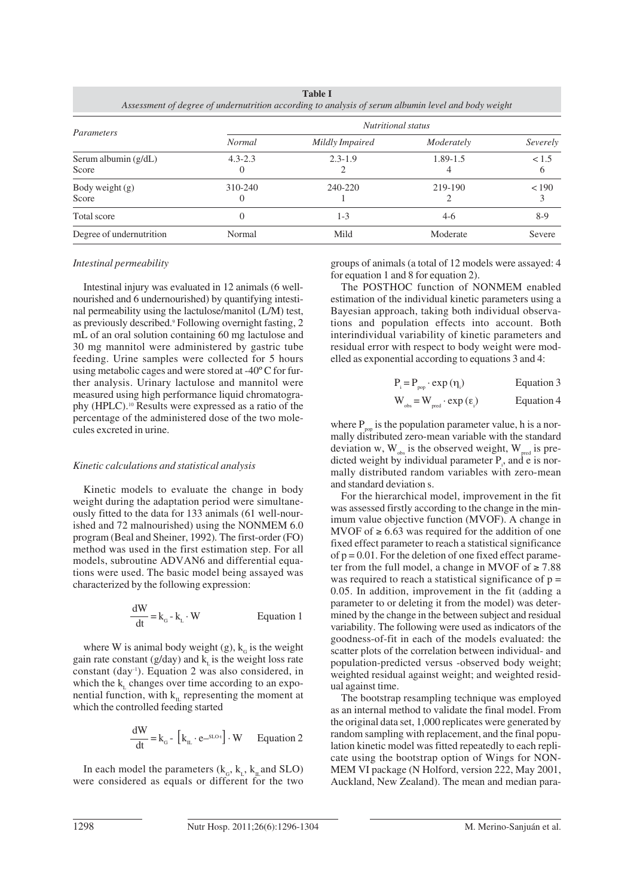| Parameters                      | <i>Nutritional status</i> |                 |            |          |  |  |
|---------------------------------|---------------------------|-----------------|------------|----------|--|--|
|                                 | <b>Normal</b>             | Mildly Impaired | Moderately | Severely |  |  |
| Serum albumin $(g/dL)$<br>Score | $4.3 - 2.3$               | $2.3 - 1.9$     | 1.89-1.5   | < 1.5    |  |  |
| Body weight $(g)$<br>Score      | 310-240                   | 240-220         | 219-190    | < 190    |  |  |
| Total score                     | $^{(1)}$                  | $1 - 3$         | $4-6$      | $8-9$    |  |  |
| Degree of undernutrition        | Normal                    | Mild            | Moderate   | Severe   |  |  |

**Table I** *Assessment of degree of undernutrition according to analysis of serum albumin level and body weight*

## *Intestinal permeability*

Intestinal injury was evaluated in 12 animals (6 wellnourished and 6 undernourished) by quantifying intestinal permeability using the lactulose/manitol (L/M) test, as previously described.<sup>9</sup> Following overnight fasting, 2 mL of an oral solution containing 60 mg lactulose and 30 mg mannitol were administered by gastric tube feeding. Urine samples were collected for 5 hours using metabolic cages and were stored at -40º C for further analysis. Urinary lactulose and mannitol were measured using high performance liquid chromatography (HPLC).10 Results were expressed as a ratio of the percentage of the administered dose of the two molecules excreted in urine.

## *Kinetic calculations and statistical analysis*

Kinetic models to evaluate the change in body weight during the adaptation period were simultaneously fitted to the data for 133 animals (61 well-nourished and 72 malnourished) using the NONMEM 6.0 program (Beal and Sheiner, 1992)*.* The first-order (FO) method was used in the first estimation step. For all models, subroutine ADVAN6 and differential equations were used. The basic model being assayed was characterized by the following expression:

$$
\frac{dW}{dt} = k_{G} - k_{L} \cdot W
$$
 Equation 1

where W is animal body weight (g),  $k<sub>G</sub>$  is the weight gain rate constant ( $g/day$ ) and k<sub>r</sub> is the weight loss rate constant (day-1). Equation 2 was also considered, in which the  $k$ , changes over time according to an exponential function, with  $k<sub>n</sub>$  representing the moment at which the controlled feeding started

$$
\frac{dW}{dt} = k_{\text{G}} - [k_{\text{H}} \cdot e^{-s_{\text{LO}t}}] \cdot W \qquad \text{Equation 2}
$$

In each model the parameters  $(k_{\rm g}, k_{\rm L}, k_{\rm H}$  and SLO) were considered as equals or different for the two groups of animals (a total of 12 models were assayed: 4 for equation 1 and 8 for equation 2).

The POSTHOC function of NONMEM enabled estimation of the individual kinetic parameters using a Bayesian approach, taking both individual observations and population effects into account. Both interindividual variability of kinetic parameters and residual error with respect to body weight were modelled as exponential according to equations 3 and 4:

$$
P_i = P_{pop} \cdot \exp{(\eta_i)}
$$
 Equation 3

$$
W_{obs} = W_{pred} \cdot exp\left(\epsilon_{i}\right) \qquad \text{Equation 4}
$$

where  $P_{\text{p}}$  is the population parameter value, h is a normally distributed zero-mean variable with the standard deviation w,  $W_{\text{obs}}$  is the observed weight,  $W_{\text{pred}}$  is predicted weight by individual parameter  $P_i$ , and e is normally distributed random variables with zero-mean and standard deviation s.

For the hierarchical model, improvement in the fit was assessed firstly according to the change in the minimum value objective function (MVOF). A change in MVOF of  $\geq 6.63$  was required for the addition of one fixed effect parameter to reach a statistical significance of  $p = 0.01$ . For the deletion of one fixed effect parameter from the full model, a change in MVOF of  $\geq 7.88$ was required to reach a statistical significance of  $p =$ 0.05. In addition, improvement in the fit (adding a parameter to or deleting it from the model) was determined by the change in the between subject and residual variability. The following were used as indicators of the goodness-of-fit in each of the models evaluated: the scatter plots of the correlation between individual- and population-predicted versus -observed body weight; weighted residual against weight; and weighted residual against time.

The bootstrap resampling technique was employed as an internal method to validate the final model. From the original data set, 1,000 replicates were generated by random sampling with replacement, and the final population kinetic model was fitted repeatedly to each replicate using the bootstrap option of Wings for NON-MEM VI package (N Holford, version 222, May 2001, Auckland, New Zealand). The mean and median para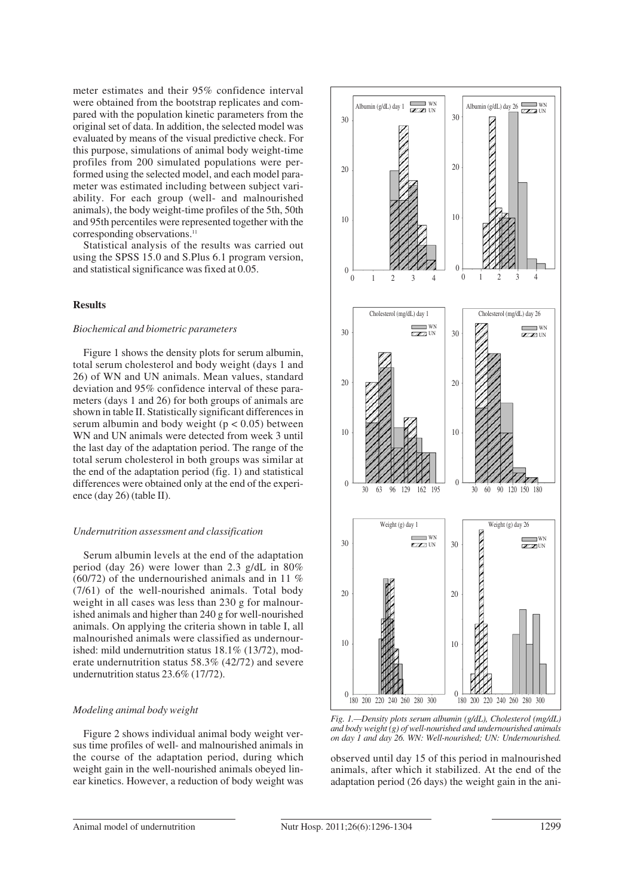meter estimates and their 95% confidence interval were obtained from the bootstrap replicates and compared with the population kinetic parameters from the original set of data. In addition, the selected model was evaluated by means of the visual predictive check. For this purpose, simulations of animal body weight-time profiles from 200 simulated populations were performed using the selected model, and each model parameter was estimated including between subject variability. For each group (well- and malnourished animals), the body weight-time profiles of the 5th, 50th and 95th percentiles were represented together with the corresponding observations.<sup>11</sup>

Statistical analysis of the results was carried out using the SPSS 15.0 and S.Plus 6.1 program version, and statistical significance was fixed at 0.05.

## **Results**

#### *Biochemical and biometric parameters*

Figure 1 shows the density plots for serum albumin, total serum cholesterol and body weight (days 1 and 26) of WN and UN animals. Mean values, standard deviation and 95% confidence interval of these parameters (days 1 and 26) for both groups of animals are shown in table II. Statistically significant differences in serum albumin and body weight ( $p < 0.05$ ) between WN and UN animals were detected from week 3 until the last day of the adaptation period. The range of the total serum cholesterol in both groups was similar at the end of the adaptation period (fig. 1) and statistical differences were obtained only at the end of the experience (day 26) (table II).

#### *Undernutrition assessment and classification*

Serum albumin levels at the end of the adaptation period (day 26) were lower than 2.3 g/dL in 80%  $(60/72)$  of the undernourished animals and in 11 % (7/61) of the well-nourished animals. Total body weight in all cases was less than 230 g for malnourished animals and higher than 240 g for well-nourished animals. On applying the criteria shown in table I, all malnourished animals were classified as undernourished: mild undernutrition status 18.1% (13/72), moderate undernutrition status 58.3% (42/72) and severe undernutrition status 23.6% (17/72).

#### *Modeling animal body weight*

Figure 2 shows individual animal body weight versus time profiles of well- and malnourished animals in the course of the adaptation period, during which weight gain in the well-nourished animals obeyed linear kinetics. However, a reduction of body weight was



*Fig. 1.—Density plots serum albumin (g/dL), Cholesterol (mg/dL) and body weight (g) of well-nourished and undernourished animals on day 1 and day 26. WN: Well-nourished; UN: Undernourished.*

observed until day 15 of this period in malnourished animals, after which it stabilized. At the end of the adaptation period (26 days) the weight gain in the ani-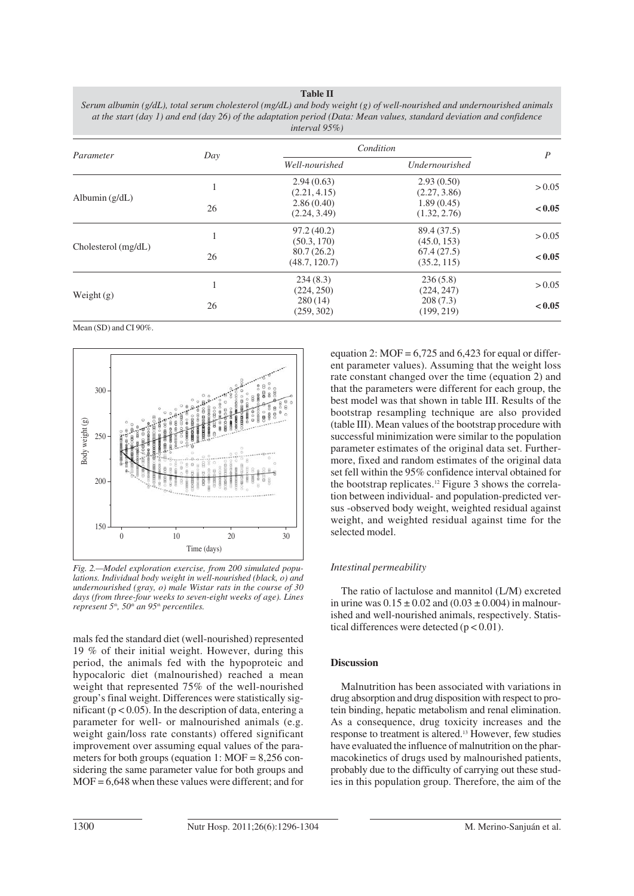**Table II** *Serum albumin (g/dL), total serum cholesterol (mg/dL) and body weight (g) of well-nourished and undernourished animals at the start (day 1) and end (day 26) of the adaptation period (Data: Mean values, standard deviation and confidence interval 95%)*

| Parameter           | Day | Condition                   |                            | $\boldsymbol{P}$ |
|---------------------|-----|-----------------------------|----------------------------|------------------|
|                     |     | Well-nourished              | Undernourished             |                  |
| Albumin $(g/dL)$    |     | 2.94(0.63)<br>(2.21, 4.15)  | 2.93(0.50)<br>(2.27, 3.86) | > 0.05           |
|                     | 26  | 2.86(0.40)<br>(2.24, 3.49)  | 1.89(0.45)<br>(1.32, 2.76) | < 0.05           |
| Cholesterol (mg/dL) |     | 97.2(40.2)<br>(50.3, 170)   | 89.4 (37.5)<br>(45.0, 153) | > 0.05           |
|                     | 26  | 80.7(26.2)<br>(48.7, 120.7) | 67.4(27.5)<br>(35.2, 115)  | < 0.05           |
| Weight $(g)$        |     | 234(8.3)<br>(224, 250)      | 236(5.8)<br>(224, 247)     | > 0.05           |
|                     | 26  | 280(14)<br>(259, 302)       | 208(7.3)<br>(199, 219)     | < 0.05           |

Mean (SD) and CI 90%.



*Fig. 2.—Model exploration exercise, from 200 simulated populations. Individual body weight in well-nourished (black, o) and undernourished (gray, o) male Wistar rats in the course of 30 days (from three-four weeks to seven-eight weeks of age). Lines represent 5th, 50th an 95th percentiles.*

mals fed the standard diet (well-nourished) represented 19 % of their initial weight. However, during this period, the animals fed with the hypoproteic and hypocaloric diet (malnourished) reached a mean weight that represented 75% of the well-nourished group's final weight. Differences were statistically significant ( $p < 0.05$ ). In the description of data, entering a parameter for well- or malnourished animals (e.g. weight gain/loss rate constants) offered significant improvement over assuming equal values of the parameters for both groups (equation 1:  $MOF = 8,256$  considering the same parameter value for both groups and MOF = 6,648 when these values were different; and for

equation 2:  $MOF = 6,725$  and 6,423 for equal or different parameter values). Assuming that the weight loss rate constant changed over the time (equation 2) and that the parameters were different for each group, the best model was that shown in table III. Results of the bootstrap resampling technique are also provided (table III). Mean values of the bootstrap procedure with successful minimization were similar to the population parameter estimates of the original data set. Furthermore, fixed and random estimates of the original data set fell within the 95% confidence interval obtained for the bootstrap replicates.12 Figure 3 shows the correlation between individual- and population-predicted versus -observed body weight, weighted residual against weight, and weighted residual against time for the selected model.

## *Intestinal permeability*

The ratio of lactulose and mannitol (L/M) excreted in urine was  $0.15 \pm 0.02$  and  $(0.03 \pm 0.004)$  in malnourished and well-nourished animals, respectively. Statistical differences were detected  $(p < 0.01)$ .

## **Discussion**

Malnutrition has been associated with variations in drug absorption and drug disposition with respect to protein binding, hepatic metabolism and renal elimination. As a consequence, drug toxicity increases and the response to treatment is altered.13 However, few studies have evaluated the influence of malnutrition on the pharmacokinetics of drugs used by malnourished patients, probably due to the difficulty of carrying out these studies in this population group. Therefore, the aim of the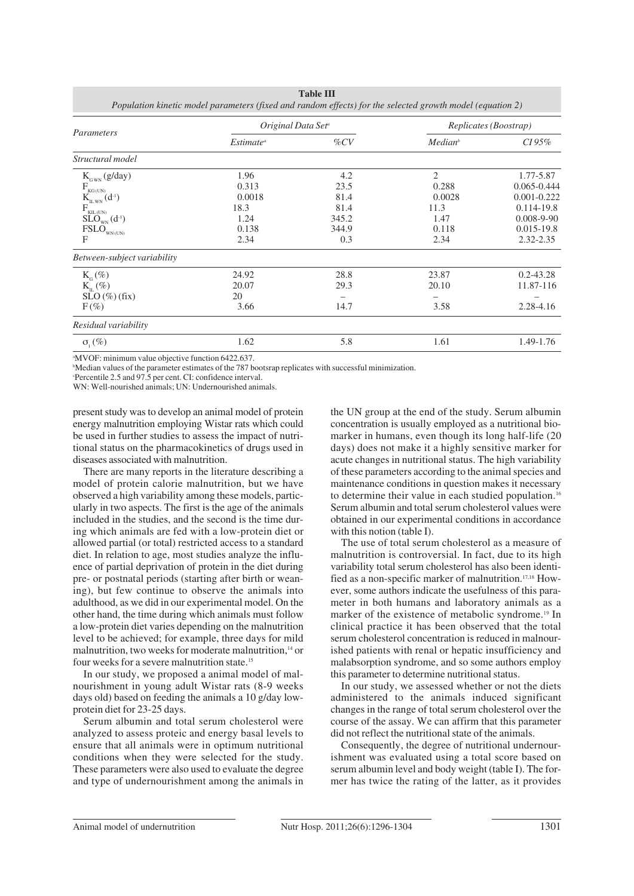| Parameters                                                                                                | Original Data Set <sup>a</sup> |        | Replicates (Boostrap) |                  |
|-----------------------------------------------------------------------------------------------------------|--------------------------------|--------|-----------------------|------------------|
|                                                                                                           | $Estimate^a$                   | $\%CV$ | Median <sup>b</sup>   | $CI 95\%$        |
| Structural model                                                                                          |                                |        |                       |                  |
| $K_{_{\rm GWN}}(g/day)$                                                                                   | 1.96                           | 4.2    | $\overline{2}$        | 1.77-5.87        |
|                                                                                                           | 0.313                          | 23.5   | 0.288                 | 0.065-0.444      |
| $\underset{\mathrm{K}_{\mathrm{ILWN}}}{F_{\mathrm{KG}^{(\mathrm{UN})}}}(\mathrm{d}^{\text{-1}})$          | 0.0018                         | 81.4   | 0.0028                | $0.001 - 0.222$  |
| $F_{\text{KIL}(\text{UN})}$                                                                               | 18.3                           | 81.4   | 11.3                  | $0.114 - 19.8$   |
| $\widetilde{\mathrm{SLO}}_{\scriptscriptstyle{\mathrm{WN}}}^{\phantom{\dag}}(d^{\scriptscriptstyle{-1}})$ | 1.24                           | 345.2  | 1.47                  | $0.008 - 9 - 90$ |
| $\text{FSLO}_{_{\text{WN}(\text{UN})}}$                                                                   | 0.138                          | 344.9  | 0.118                 | $0.015 - 19.8$   |
| F                                                                                                         | 2.34                           | 0.3    | 2.34                  | 2.32-2.35        |
| Between-subject variability                                                                               |                                |        |                       |                  |
| $K_{\alpha}(\%)$                                                                                          | 24.92                          | 28.8   | 23.87                 | $0.2 - 43.28$    |
| $K_{\text{m}}(\%)$                                                                                        | 20.07                          | 29.3   | 20.10                 | 11.87-116        |
| $SLO(\%)(fix)$                                                                                            | 20                             |        |                       |                  |
| $F(\%)$                                                                                                   | 3.66                           | 14.7   | 3.58                  | 2.28-4.16        |
| Residual variability                                                                                      |                                |        |                       |                  |
| $\sigma$ <sub>1</sub> $(\%)$                                                                              | 1.62                           | 5.8    | 1.61                  | 1.49-1.76        |

**Table III**

a MVOF: minimum value objective function 6422.637.

b Median values of the parameter estimates of the 787 bootsrap replicates with successful minimization.

Percentile 2.5 and 97.5 per cent. CI: confidence interval.

WN: Well-nourished animals: UN: Undernourished animals.

present study was to develop an animal model of protein energy malnutrition employing Wistar rats which could be used in further studies to assess the impact of nutritional status on the pharmacokinetics of drugs used in diseases associated with malnutrition.

There are many reports in the literature describing a model of protein calorie malnutrition, but we have observed a high variability among these models, particularly in two aspects. The first is the age of the animals included in the studies, and the second is the time during which animals are fed with a low-protein diet or allowed partial (or total) restricted access to a standard diet. In relation to age, most studies analyze the influence of partial deprivation of protein in the diet during pre- or postnatal periods (starting after birth or weaning), but few continue to observe the animals into adulthood, as we did in our experimental model. On the other hand, the time during which animals must follow a low-protein diet varies depending on the malnutrition level to be achieved; for example, three days for mild malnutrition, two weeks for moderate malnutrition.<sup>14</sup> or four weeks for a severe malnutrition state.15

In our study, we proposed a animal model of malnourishment in young adult Wistar rats (8-9 weeks days old) based on feeding the animals a 10 g/day lowprotein diet for 23-25 days.

Serum albumin and total serum cholesterol were analyzed to assess proteic and energy basal levels to ensure that all animals were in optimum nutritional conditions when they were selected for the study. These parameters were also used to evaluate the degree and type of undernourishment among the animals in the UN group at the end of the study. Serum albumin concentration is usually employed as a nutritional biomarker in humans, even though its long half-life (20 days) does not make it a highly sensitive marker for acute changes in nutritional status. The high variability of these parameters according to the animal species and maintenance conditions in question makes it necessary to determine their value in each studied population.<sup>16</sup> Serum albumin and total serum cholesterol values were obtained in our experimental conditions in accordance with this notion (table I).

The use of total serum cholesterol as a measure of malnutrition is controversial. In fact, due to its high variability total serum cholesterol has also been identified as a non-specific marker of malnutrition.17,18 However, some authors indicate the usefulness of this parameter in both humans and laboratory animals as a marker of the existence of metabolic syndrome.<sup>19</sup> In clinical practice it has been observed that the total serum cholesterol concentration is reduced in malnourished patients with renal or hepatic insufficiency and malabsorption syndrome, and so some authors employ this parameter to determine nutritional status.

In our study, we assessed whether or not the diets administered to the animals induced significant changes in the range of total serum cholesterol over the course of the assay. We can affirm that this parameter did not reflect the nutritional state of the animals.

Consequently, the degree of nutritional undernourishment was evaluated using a total score based on serum albumin level and body weight (table I). The former has twice the rating of the latter, as it provides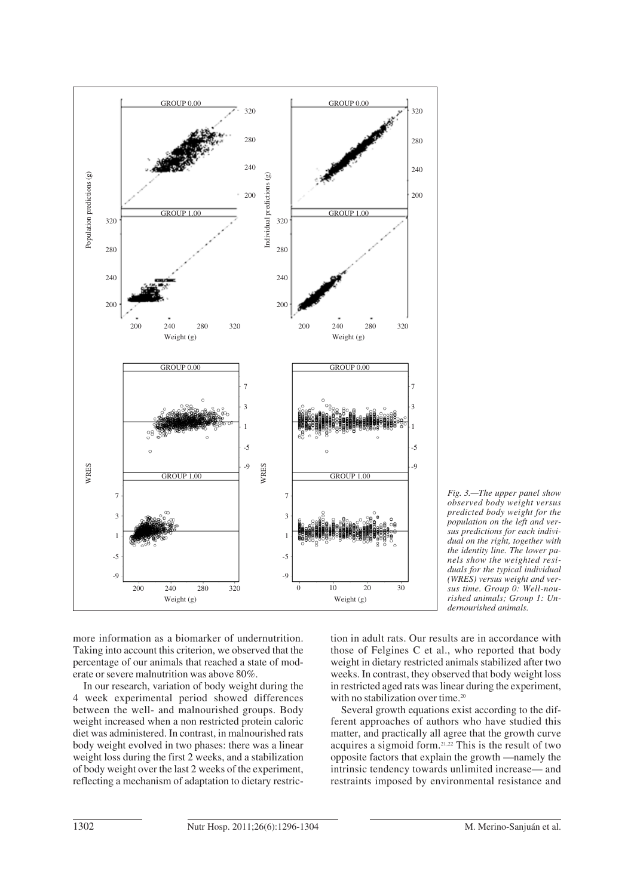

*Fig. 3.—The upper panel show observed body weight versus predicted body weight for the population on the left and versus predictions for each individual on the right, together with the identity line. The lower panels show the weighted residuals for the typical individual (WRES) versus weight and versus time. Group 0: Well-nourished animals; Group 1: Undernourished animals.*

more information as a biomarker of undernutrition. Taking into account this criterion, we observed that the percentage of our animals that reached a state of moderate or severe malnutrition was above 80%.

In our research, variation of body weight during the 4 week experimental period showed differences between the well- and malnourished groups. Body weight increased when a non restricted protein caloric diet was administered. In contrast, in malnourished rats body weight evolved in two phases: there was a linear weight loss during the first 2 weeks, and a stabilization of body weight over the last 2 weeks of the experiment, reflecting a mechanism of adaptation to dietary restriction in adult rats. Our results are in accordance with those of Felgines C et al., who reported that body weight in dietary restricted animals stabilized after two weeks. In contrast, they observed that body weight loss in restricted aged rats was linear during the experiment, with no stabilization over time.<sup>20</sup>

Several growth equations exist according to the different approaches of authors who have studied this matter, and practically all agree that the growth curve acquires a sigmoid form.21,22 This is the result of two opposite factors that explain the growth —namely the intrinsic tendency towards unlimited increase— and restraints imposed by environmental resistance and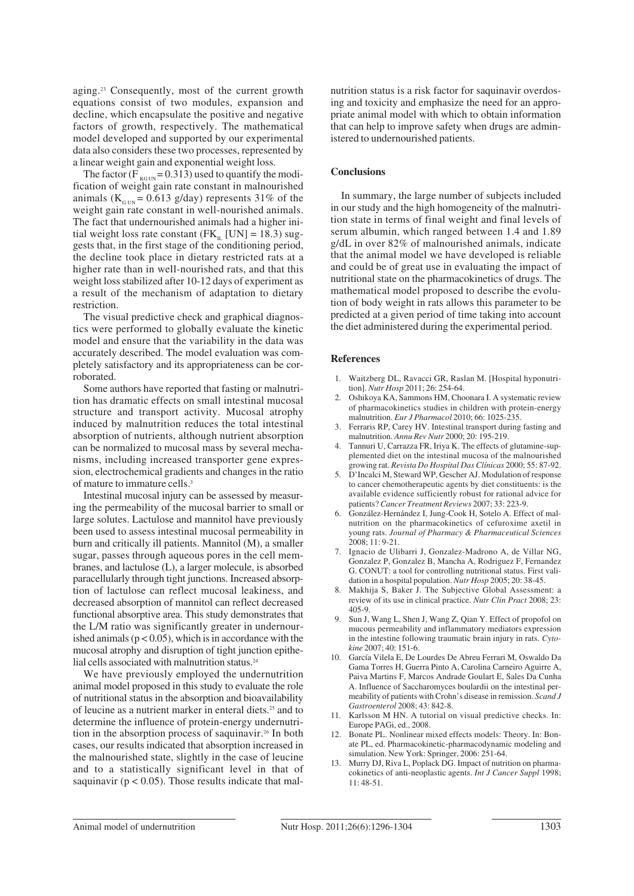aging.23 Consequently, most of the current growth equations consist of two modules, expansion and decline, which encapsulate the positive and negative factors of growth, respectively. The mathematical model developed and supported by our experimental data also considers these two processes, represented by a linear weight gain and exponential weight loss.

The factor ( $F_{\text{KGUN}} = 0.313$ ) used to quantify the modification of weight gain rate constant in malnourished animals ( $K<sub>G1/N</sub> = 0.613$  g/day) represents 31% of the weight gain rate constant in well-nourished animals. The fact that undernourished animals had a higher initial weight loss rate constant ( $FK_{\text{IL}}$  [UN] = 18.3) suggests that, in the first stage of the conditioning period, the decline took place in dietary restricted rats at a higher rate than in well-nourished rats, and that this weight loss stabilized after 10-12 days of experiment as a result of the mechanism of adaptation to dietary restriction.

The visual predictive check and graphical diagnostics were performed to globally evaluate the kinetic model and ensure that the variability in the data was accurately described. The model evaluation was completely satisfactory and its appropriateness can be corroborated.

Some authors have reported that fasting or malnutrition has dramatic effects on small intestinal mucosal structure and transport activity. Mucosal atrophy induced by malnutrition reduces the total intestinal absorption of nutrients, although nutrient absorption can be normalized to mucosal mass by several mechanisms, including increased transporter gene expression, electrochemical gradients and changes in the ratio of mature to immature cells.<sup>3</sup>

Intestinal mucosal injury can be assessed by measuring the permeability of the mucosal barrier to small or large solutes. Lactulose and mannitol have previously been used to assess intestinal mucosal permeability in burn and critically ill patients. Mannitol (M), a smaller sugar, passes through aqueous pores in the cell membranes, and lactulose (L), a larger molecule, is absorbed paracellularly through tight junctions. Increased absorption of lactulose can reflect mucosal leakiness, and decreased absorption of mannitol can reflect decreased functional absorptive area. This study demonstrates that the L/M ratio was significantly greater in undernourished animals ( $p < 0.05$ ), which is in accordance with the mucosal atrophy and disruption of tight junction epithelial cells associated with malnutrition status.<sup>24</sup>

We have previously employed the undernutrition animal model proposed in this study to evaluate the role of nutritional status in the absorption and bioavailability of leucine as a nutrient marker in enteral diets.25 and to determine the influence of protein-energy undernutrition in the absorption process of saquinavir.26 In both cases, our results indicated that absorption increased in the malnourished state, slightly in the case of leucine and to a statistically significant level in that of saquinavir ( $p < 0.05$ ). Those results indicate that malnutrition status is a risk factor for saquinavir overdosing and toxicity and emphasize the need for an appropriate animal model with which to obtain information that can help to improve safety when drugs are administered to undernourished patients.

## **Conclusions**

In summary, the large number of subjects included in our study and the high homogeneity of the malnutrition state in terms of final weight and final levels of serum albumin, which ranged between 1.4 and 1.89 g/dL in over 82% of malnourished animals, indicate that the animal model we have developed is reliable and could be of great use in evaluating the impact of nutritional state on the pharmacokinetics of drugs. The mathematical model proposed to describe the evolution of body weight in rats allows this parameter to be predicted at a given period of time taking into account the diet administered during the experimental period.

## **References**

- 1. Waitzberg DL, Ravacci GR, Raslan M. [Hospital hyponutrition]. *Nutr Hosp* 2011; 26: 254-64.
- 2. Oshikoya KA, Sammons HM, Choonara I. A systematic review of pharmacokinetics studies in children with protein-energy malnutrition. *Eur J Pharmacol* 2010; 66: 1025-235.
- 3. Ferraris RP, Carey HV. Intestinal transport during fasting and malnutrition. *Annu Rev Nutr* 2000; 20: 195-219.
- 4. Tannuri U, Carrazza FR, Iriya K. The effects of glutamine-supplemented diet on the intestinal mucosa of the malnourished growing rat. *Revista Do Hospital Das Clínicas* 2000; 55: 87-92.
- 5. D'Incalci M, Steward WP, Gescher AJ. Modulation of response to cancer chemotherapeutic agents by diet constituents: is the available evidence sufficiently robust for rational advice for patients? *Cancer Treatment Reviews* 2007; 33: 223-9.
- 6. González-Hernández I, Jung-Cook H, Sotelo A. Effect of malnutrition on the pharmacokinetics of cefuroxime axetil in young rats. *Journal of Pharmacy & Pharmaceutical Sciences* 2008; 11: 9-21.
- 7. Ignacio de Ulibarri J, Gonzalez-Madrono A, de Villar NG, Gonzalez P, Gonzalez B, Mancha A, Rodriguez F, Fernandez G. CONUT: a tool for controlling nutritional status. First validation in a hospital population. *Nutr Hosp* 2005; 20: 38-45.
- 8. Makhija S, Baker J. The Subjective Global Assessment: a review of its use in clinical practice. *Nutr Clin Pract* 2008; 23: 405-9.
- 9. Sun J, Wang L, Shen J, Wang Z, Qian Y. Effect of propofol on mucous permeability and inflammatory mediators expression in the intestine following traumatic brain injury in rats. *Cytokine* 2007; 40: 151-6.
- 10. García Vilela E, De Lourdes De Abreu Ferrari M, Oswaldo Da Gama Torres H, Guerra Pinto A, Carolina Carneiro Aguirre A, Paiva Martins F, Marcos Andrade Goulart E, Sales Da Cunha A. Influence of Saccharomyces boulardii on the intestinal permeability of patients with Crohn's disease in remission. *Scand J Gastroenterol* 2008; 43: 842-8.
- 11. Karlsson M HN. A tutorial on visual predictive checks. In: Europe PAGi, ed., 2008.
- 12. Bonate PL. Nonlinear mixed effects models: Theory. In: Bonate PL, ed. Pharmacokinetic-pharmacodynamic modeling and simulation. New York: Springer, 2006: 251-64.
- 13. Murry DJ, Riva L, Poplack DG. Impact of nutrition on pharmacokinetics of anti-neoplastic agents. *Int J Cancer Suppl* 1998; 11: 48-51.